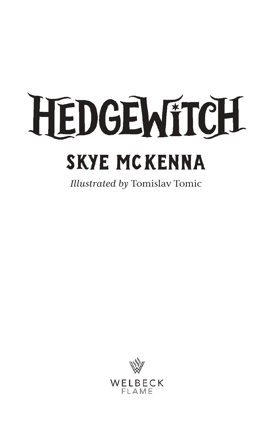## HEDGEMITCH **SKYE MCKENNA**

*Illustrated by* Tomislav Tomic

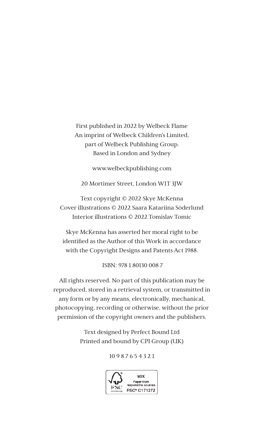First published in 2022 by Welbeck Flame An imprint of Welbeck Children's Limited, part of Welbeck Publishing Group. Based in London and Sydney

www.welbeckpublishing.com

20 Mortimer Street, London W1T 3JW

Text copyright © 2022 Skye McKenna Cover illustrations © 2022 Saara Katariina Söderlund Interior illustrations © 2022 Tomislav Tomic

Skye McKenna has asserted her moral right to be identified as the Author of this Work in accordance with the Copyright Designs and Patents Act 1988.

ISBN: 978 1 80130 008 7

All rights reserved. No part of this publication may be reproduced, stored in a retrieval system, or transmitted in any form or by any means, electronically, mechanical, photocopying, recording or otherwise, without the prior permission of the copyright owners and the publishers.

> Text designed by Perfect Bound Ltd Printed and bound by CPI Group (UK)

> > 10 9 8 7 6 5 4 3 2 1

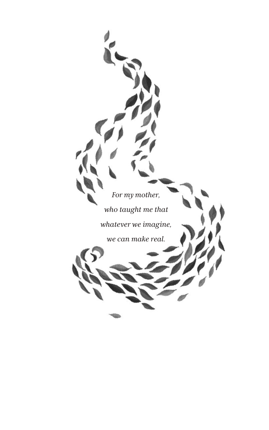*For my mother, who taught me that whatever we imagine,*

*we can make real.*

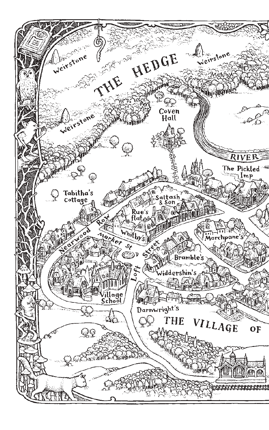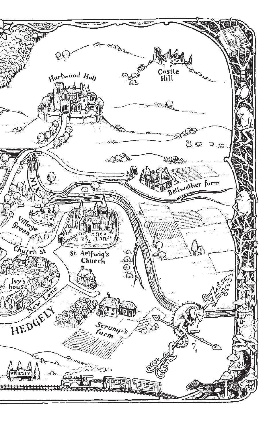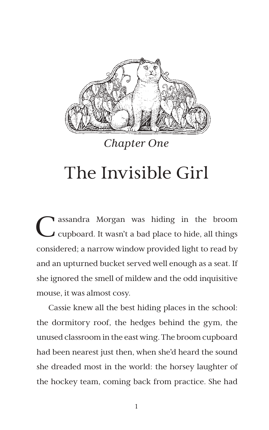

*Chapter One*

## The Invisible Girl

Cassandra Morgan was hiding in the broom<br>Composed. It wasn't a bad place to hide, all things considered; a narrow window provided light to read by and an upturned bucket served well enough as a seat. If she ignored the smell of mildew and the odd inquisitive mouse, it was almost cosy.

Cassie knew all the best hiding places in the school: the dormitory roof, the hedges behind the gym, the unused classroom in the east wing. The broom cupboard had been nearest just then, when she'd heard the sound she dreaded most in the world: the horsey laughter of the hockey team, coming back from practice. She had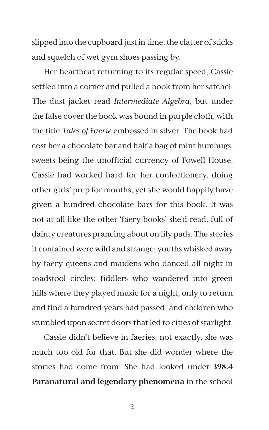slipped into the cupboard just in time, the clatter of sticks and squelch of wet gym shoes passing by.

Her heartbeat returning to its regular speed, Cassie settled into a corner and pulled a book from her satchel. The dust jacket read *Intermediate Algebra*, but under the false cover the book was bound in purple cloth, with the title *Tales of Faerie* embossed in silver. The book had cost her a chocolate bar and half a bag of mint humbugs, sweets being the unofficial currency of Fowell House. Cassie had worked hard for her confectionery, doing other girls' prep for months, yet she would happily have given a hundred chocolate bars for this book. It was not at all like the other 'faery books' she'd read, full of dainty creatures prancing about on lily pads. The stories it contained were wild and strange; youths whisked away by faery queens and maidens who danced all night in toadstool circles; fiddlers who wandered into green hills where they played music for a night, only to return and find a hundred years had passed; and children who stumbled upon secret doors that led to cities of starlight.

Cassie didn't believe in faeries, not exactly, she was much too old for that. But she did wonder where the stories had come from. She had looked under **398.4 Paranatural and legendary phenomena** in the school

2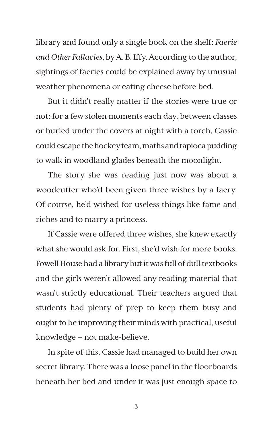library and found only a single book on the shelf: *Faerie and Other Fallacies*, by A. B. Iffy. According to the author, sightings of faeries could be explained away by unusual weather phenomena or eating cheese before bed.

But it didn't really matter if the stories were true or not: for a few stolen moments each day, between classes or buried under the covers at night with a torch, Cassie could escape the hockey team, maths and tapioca pudding to walk in woodland glades beneath the moonlight.

The story she was reading just now was about a woodcutter who'd been given three wishes by a faery. Of course, he'd wished for useless things like fame and riches and to marry a princess.

If Cassie were offered three wishes, she knew exactly what she would ask for. First, she'd wish for more books. Fowell House had a library but it was full of dull textbooks and the girls weren't allowed any reading material that wasn't strictly educational. Their teachers argued that students had plenty of prep to keep them busy and ought to be improving their minds with practical, useful knowledge – not make-believe.

In spite of this, Cassie had managed to build her own secret library. There was a loose panel in the floorboards beneath her bed and under it was just enough space to

3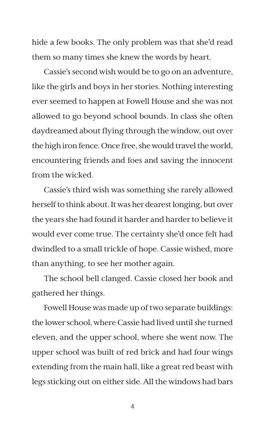hide a few books. The only problem was that she'd read them so many times she knew the words by heart.

Cassie's second wish would be to go on an adventure, like the girls and boys in her stories. Nothing interesting ever seemed to happen at Fowell House and she was not allowed to go beyond school bounds. In class she often daydreamed about flying through the window, out over the high iron fence. Once free, she would travel the world, encountering friends and foes and saving the innocent from the wicked.

Cassie's third wish was something she rarely allowed herself to think about. It was her dearest longing, but over the years she had found it harder and harder to believe it would ever come true. The certainty she'd once felt had dwindled to a small trickle of hope. Cassie wished, more than anything, to see her mother again.

The school bell clanged. Cassie closed her book and gathered her things.

Fowell House was made up of two separate buildings: the lower school, where Cassie had lived until she turned eleven, and the upper school, where she went now. The upper school was built of red brick and had four wings extending from the main hall, like a great red beast with legs sticking out on either side. All the windows had bars

4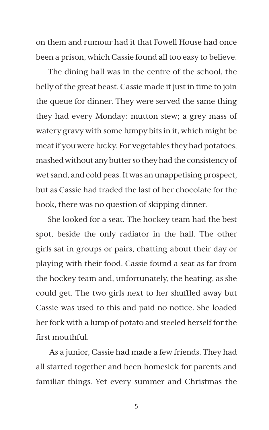on them and rumour had it that Fowell House had once been a prison, which Cassie found all too easy to believe.

The dining hall was in the centre of the school, the belly of the great beast. Cassie made it just in time to join the queue for dinner. They were served the same thing they had every Monday: mutton stew; a grey mass of watery gravy with some lumpy bits in it, which might be meat if you were lucky. For vegetables they had potatoes, mashed without any butter so they had the consistency of wet sand, and cold peas. It was an unappetising prospect, but as Cassie had traded the last of her chocolate for the book, there was no question of skipping dinner.

She looked for a seat. The hockey team had the best spot, beside the only radiator in the hall. The other girls sat in groups or pairs, chatting about their day or playing with their food. Cassie found a seat as far from the hockey team and, unfortunately, the heating, as she could get. The two girls next to her shuffled away but Cassie was used to this and paid no notice. She loaded her fork with a lump of potato and steeled herself for the first mouthful.

 As a junior, Cassie had made a few friends. They had all started together and been homesick for parents and familiar things. Yet every summer and Christmas the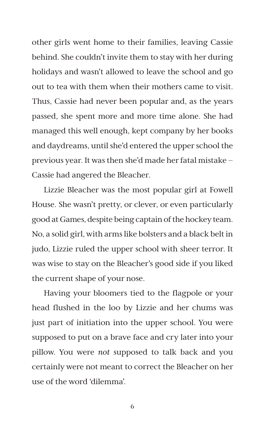other girls went home to their families, leaving Cassie behind. She couldn't invite them to stay with her during holidays and wasn't allowed to leave the school and go out to tea with them when their mothers came to visit. Thus, Cassie had never been popular and, as the years passed, she spent more and more time alone. She had managed this well enough, kept company by her books and daydreams, until she'd entered the upper school the previous year. It was then she'd made her fatal mistake – Cassie had angered the Bleacher.

Lizzie Bleacher was the most popular girl at Fowell House. She wasn't pretty, or clever, or even particularly good at Games, despite being captain of the hockey team. No, a solid girl, with arms like bolsters and a black belt in judo, Lizzie ruled the upper school with sheer terror. It was wise to stay on the Bleacher's good side if you liked the current shape of your nose.

Having your bloomers tied to the flagpole or your head flushed in the loo by Lizzie and her chums was just part of initiation into the upper school. You were supposed to put on a brave face and cry later into your pillow. You were *not* supposed to talk back and you certainly were not meant to correct the Bleacher on her use of the word 'dilemma'.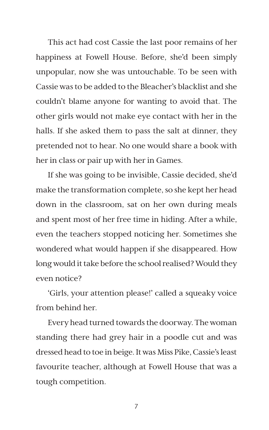This act had cost Cassie the last poor remains of her happiness at Fowell House. Before, she'd been simply unpopular, now she was untouchable. To be seen with Cassie was to be added to the Bleacher's blacklist and she couldn't blame anyone for wanting to avoid that. The other girls would not make eye contact with her in the halls. If she asked them to pass the salt at dinner, they pretended not to hear. No one would share a book with her in class or pair up with her in Games.

If she was going to be invisible, Cassie decided, she'd make the transformation complete, so she kept her head down in the classroom, sat on her own during meals and spent most of her free time in hiding. After a while, even the teachers stopped noticing her. Sometimes she wondered what would happen if she disappeared. How long would it take before the school realised? Would they even notice?

'Girls, your attention please!' called a squeaky voice from behind her.

Every head turned towards the doorway. The woman standing there had grey hair in a poodle cut and was dressed head to toe in beige. It was Miss Pike, Cassie's least favourite teacher, although at Fowell House that was a tough competition.